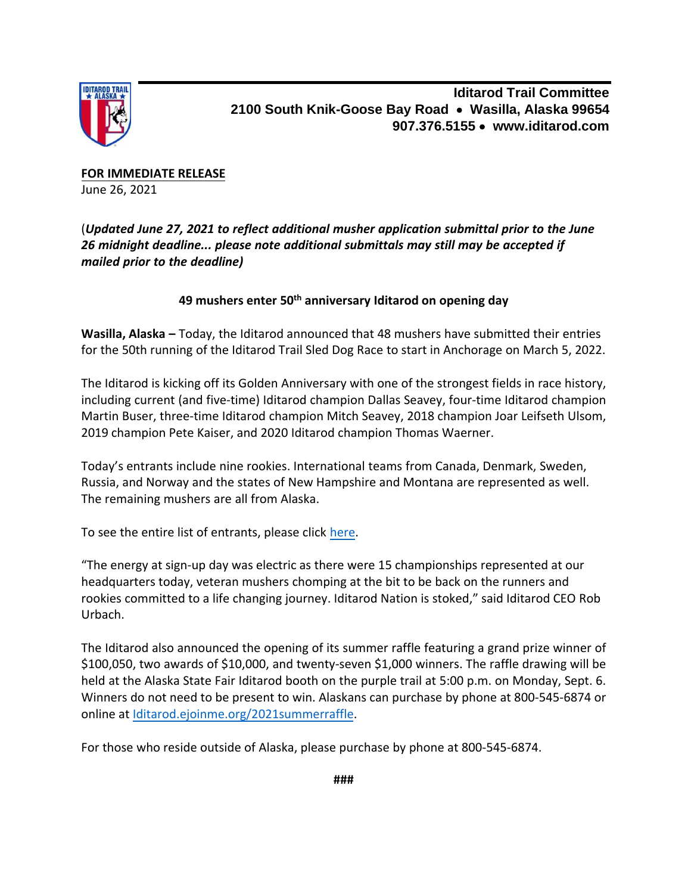

**Iditarod Trail Committee 2100 South Knik-Goose Bay Road** • **Wasilla, Alaska 99654 907.376.5155** • **www.iditarod.com**

**FOR IMMEDIATE RELEASE** June 26, 2021

(*Updated June 27, 2021 to reflect additional musher application submittal prior to the June 26 midnight deadline... please note additional submittals may still may be accepted if mailed prior to the deadline)*

## **49 mushers enter 50th anniversary Iditarod on opening day**

**Wasilla, Alaska –** Today, the Iditarod announced that 48 mushers have submitted their entries for the 50th running of the Iditarod Trail Sled Dog Race to start in Anchorage on March 5, 2022.

The Iditarod is kicking off its Golden Anniversary with one of the strongest fields in race history, including current (and five-time) Iditarod champion Dallas Seavey, four-time Iditarod champion Martin Buser, three-time Iditarod champion Mitch Seavey, 2018 champion Joar Leifseth Ulsom, 2019 champion Pete Kaiser, and 2020 Iditarod champion Thomas Waerner.

Today's entrants include nine rookies. International teams from Canada, Denmark, Sweden, Russia, and Norway and the states of New Hampshire and Montana are represented as well. The remaining mushers are all from Alaska.

To see the entire list of entrants, please click [here.](https://iditarod.com/race/2022/mushers/list/)

"The energy at sign-up day was electric as there were 15 championships represented at our headquarters today, veteran mushers chomping at the bit to be back on the runners and rookies committed to a life changing journey. Iditarod Nation is stoked," said Iditarod CEO Rob Urbach.

The Iditarod also announced the opening of its summer raffle featuring a grand prize winner of \$100,050, two awards of \$10,000, and twenty-seven \$1,000 winners. The raffle drawing will be held at the Alaska State Fair Iditarod booth on the purple trail at 5:00 p.m. on Monday, Sept. 6. Winners do not need to be present to win. Alaskans can purchase by phone at 800-545-6874 or online at [Iditarod.ejoinme.org/2021summerraffle.](https://iditarod.ejoinme.org/2021summerraffle) 

For those who reside outside of Alaska, please purchase by phone at 800-545-6874.